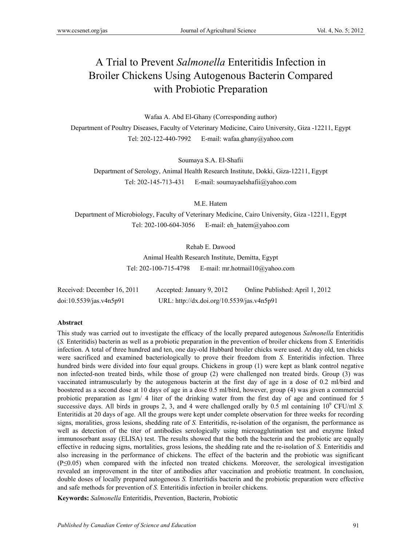# A Trial to Prevent *Salmonella* Enteritidis Infection in Broiler Chickens Using Autogenous Bacterin Compared with Probiotic Preparation

Wafaa A. Abd El-Ghany (Corresponding author)

Department of Poultry Diseases, Faculty of Veterinary Medicine, Cairo University, Giza -12211, Egypt Tel: 202-122-440-7992 E-mail: wafaa.ghany@yahoo.com

Soumaya S.A. El-Shafii

Department of Serology, Animal Health Research Institute, Dokki, Giza-12211, Egypt Tel: 202-145-713-431 E-mail: soumayaelshafii@yahoo.com

M.E. Hatem

Department of Microbiology, Faculty of Veterinary Medicine, Cairo University, Giza -12211, Egypt Tel: 202-100-604-3056 E-mail: eh\_hatem@yahoo.com

Rehab E. Dawood

Animal Health Research Institute, Demitta, Egypt Tel: 202-100-715-4798 E-mail: mr.hotmail10@yahoo.com

| Received: December 16, 2011 | Accepted: January 9, 2012                  | Online Published: April 1, 2012 |
|-----------------------------|--------------------------------------------|---------------------------------|
| doi:10.5539/jas.v4n5p91     | URL: http://dx.doi.org/10.5539/jas.v4n5p91 |                                 |

#### **Abstract**

This study was carried out to investigate the efficacy of the locally prepared autogenous *Salmonella* Enteritidis (*S.* Enteritidis) bacterin as well as a probiotic preparation in the prevention of broiler chickens from *S.* Enteritidis infection. A total of three hundred and ten, one day-old Hubbard broiler chicks were used. At day old, ten chicks were sacrificed and examined bacteriologically to prove their freedom from *S.* Enteritidis infection. Three hundred birds were divided into four equal groups. Chickens in group (1) were kept as blank control negative non infected-non treated birds, while those of group (2) were challenged non treated birds. Group (3) was vaccinated intramuscularly by the autogenous bacterin at the first day of age in a dose of 0.2 ml/bird and boostered as a second dose at 10 days of age in a dose 0.5 ml/bird, however, group (4) was given a commercial probiotic preparation as 1gm/ 4 liter of the drinking water from the first day of age and continued for 5 successive days. All birds in groups 2, 3, and 4 were challenged orally by  $0.5$  ml containing  $10^9$  CFU/ml *S*. Enteritidis at 20 days of age. All the groups were kept under complete observation for three weeks for recording signs, moralities, gross lesions, shedding rate of *S.* Enteritidis, re-isolation of the organism, the performance as well as detection of the titer of antibodies serologically using microagglutination test and enzyme linked immunosorbant assay (ELISA) test. The results showed that the both the bacterin and the probiotic are equally effective in reducing signs, mortalities, gross lesions, the shedding rate and the re-isolation of *S.* Enteritidis and also increasing in the performance of chickens. The effect of the bacterin and the probiotic was significant (P≤0.05) when compared with the infected non treated chickens. Moreover, the serological investigation revealed an improvement in the titer of antibodies after vaccination and probiotic treatment. In conclusion, double doses of locally prepared autogenous *S.* Enteritidis bacterin and the probiotic preparation were effective and safe methods for prevention of *S.* Enteritidis infection in broiler chickens.

**Keywords:** *Salmonella* Enteritidis, Prevention, Bacterin, Probiotic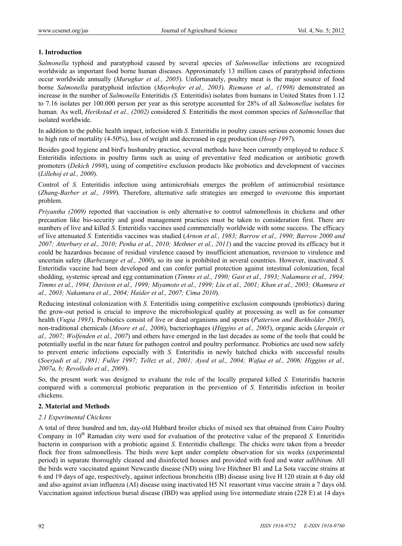# **1. Introduction**

*Salmonella* typhoid and paratyphoid caused by several species of *Salmonellae* infections are recognized worldwide as important food borne human diseases. Approximately 13 million cases of paratyphoid infections occur worldwide annually (*Murugkar et al., 2005*). Unfortunately, poultry meat is the major source of food borne *Salmonella* paratyphoid infection (*Mayrhofer et al., 2003*). *Riemann et al., (1998)* demonstrated an increase in the number of *Salmonella* Enteritidis *(S.* Enteritidis) isolates from humans in United States from 1.12 to 7.16 isolates per 100.000 person per year as this serotype accounted for 28% of all *Salmonellae* isolates for human. As well, *Herikstad et al., (2002)* considered *S.* Enteritidis the most common species of *Salmonellae* that isolated worldwide.

In addition to the public health impact, infection with *S.* Enteritidis in poultry causes serious economic losses due to high rate of mortality (4-50%), loss of weight and decreased in egg production (*Hoop 1997*).

Besides good hygiene and bird's husbandry practice, several methods have been currently employed to reduce *S.*  Enteritidis infections in poultry farms such as using of preventative feed medication or antibiotic growth promoters (*Dekich 1998*), using of competitive exclusion products like probiotics and development of vaccines (*Lillehoj et al., 2000*).

Control of *S.* Enteritidis infection using antimicrobials emerges the problem of antimicrobial resistance (*Zhang-Barber et al., 1999*). Therefore, alternative safe strategies are emerged to overcome this important problem.

*Priyantha (2009)* reported that vaccination is only alternative to control salmonellosis in chickens and other precaution like bio-security and good management practices must be taken to consideration first. There are numbers of live and killed *S.* Enteritidis vaccines used commercially worldwide with some success. The efficacy of live attenuated *S.* Enteritidis vaccines was studied (*Arnon et al., 1983; Barrow et al., 1990; Barrow 2000 and 2007; Atterbury et al., 2010; Penha et al., 2010; Methner et al., 2011*) and the vaccine proved its efficacy but it could be hazardous because of residual virulence caused by insufficient attenuation, reversion to virulence and uncertain safety (*Barbezange et al., 2000*), so its use is prohibited in several countries. However, inactivated *S.*  Enteritidis vaccine had been developed and can confer partial protection against intestinal colonization, fecal shedding, systemic spread and egg contamination (*Timms et al., 1990; Gast et al., 1993; Nakamura et al., 1994; Timms et al., 1994; Davison et al., 1999; Miyamoto et al., 1999; Liu et al., 2001; Khan et al., 2003; Okamura et al., 2003; Nakamura et al., 2004; Haider et al., 2007; Cima 2010*).

Reducing intestinal colonization with *S.* Enteritidis using competitive exclusion compounds (probiotics) during the grow-out period is crucial to improve the microbiological quality at processing as well as for consumer health (*Vugia 1993*). Probiotics consist of live or dead organisms and spores (*Patterson and Burkholder 2003*), non-traditional chemicals (*Moore et al., 2006*), bacteriophages (*Higgins et al., 2005*), organic acids (*Jarquin et al., 2007; Wolfenden et al., 2007*) and others have emerged in the last decades as some of the tools that could be potentially useful in the near future for pathogen control and poultry performance. Probiotics are used now safely to prevent enteric infections especially with *S.* Enteritidis in newly hatched chicks with successful results (*Soerjadi et al., 1981; Fuller 1997; Tellez et al., 2001; Ayed et al., 2004; Wafaa et al., 2006; Higgins et al., 2007a, b; Revolledo et al., 2009*).

So, the present work was designed to evaluate the role of the locally prepared killed *S.* Enteritidis bacterin compared with a commercial probiotic preparation in the prevention of *S.* Enteritidis infection in broiler chickens.

# **2. Material and Methods**

# *2.1 Experimental Chickens*

A total of three hundred and ten, day-old Hubbard broiler chicks of mixed sex that obtained from Cairo Poultry Company in 10<sup>th</sup> Ramadan city were used for evaluation of the protective value of the prepared *S*. Enteritidis bacterin in comparison with a probiotic against *S*. Enteritidis challenge. The chicks were taken from a breeder flock free from salmonellosis. The birds were kept under complete observation for six weeks (experimental period) in separate thoroughly cleaned and disinfected houses and provided with feed and water *adlibitum.* All the birds were vaccinated against Newcastle disease (ND) using live Hitchner B1 and La Sota vaccine strains at 6 and 19 days of age, respectively, against infectious broncheitis (IB) disease using live H 120 strain at 6 day old and also against avian influenza (AI) disease using inactivated H5 N1 reasortant virus vaccine strain a 7 days old. Vaccination against infectious bursal disease (IBD) was applied using live intermediate strain (228 E) at 14 days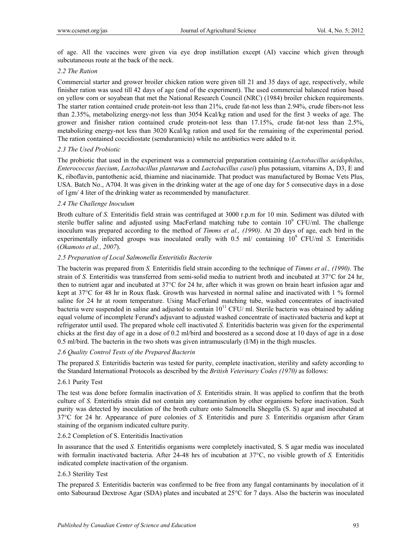of age. All the vaccines were given via eye drop instillation except (AI) vaccine which given through subcutaneous route at the back of the neck.

#### *2.2 The Ration*

Commercial starter and grower broiler chicken ration were given till 21 and 35 days of age, respectively, while finisher ration was used till 42 days of age (end of the experiment). The used commercial balanced ration based on yellow corn or soyabean that met the National Research Council (NRC) (1984) broiler chicken requirements. The starter ration contained crude protein-not less than 21%, crude fat-not less than 2.94%, crude fibers-not less than 2.35%, metabolizing energy-not less than 3054 Kcal/kg ration and used for the first 3 weeks of age. The grower and finisher ration contained crude protein-not less than 17.15%, crude fat-not less than 2.5%, metabolizing energy-not less than 3020 Kcal/kg ration and used for the remaining of the experimental period. The ration contained coccidiostate (semduramicin) while no antibiotics were added to it.

# *2.3 The Used Probiotic*

The probiotic that used in the experiment was a commercial preparation containing (*Lactobacillus acidophilus*, *Enterococcus faecium*, *Lactobacillus plantarum* and *Lactobacillus casei*) plus potassium, vitamins A, D3, E and K, riboflavin, pantothenic acid, thiamine and niacinamide. That product was manufactured by Bomac Vets Plus, USA. Batch No., A704. It was given in the drinking water at the age of one day for 5 consecutive days in a dose of 1gm/ 4 liter of the drinking water as recommended by manufacturer.

#### *2.4 The Challenge Inoculum*

Broth culture of *S*. Enteritidis field strain was centrifuged at 3000 r.p.m for 10 min. Sediment was diluted with sterile buffer saline and adjusted using MacFerland matching tube to contain  $10^9$  CFU/ml. The challenge inoculum was prepared according to the method of *Timms et al., (1990)*. At 20 days of age, each bird in the experimentally infected groups was inoculated orally with 0.5 ml/ containing 10<sup>9</sup> CFU/ml *S*. Enteritidis (*Okamoto et al., 2007*).

#### *2.5 Preparation of Local Salmonella Enteritidis Bacterin*

The bacterin was prepared from *S.* Enteritidis field strain according to the technique of *Timms et al., (1990)*. The strain of *S.* Enteritidis was transferred from semi-solid media to nutrient broth and incubated at 37°C for 24 hr, then to nutrient agar and incubated at 37°C for 24 hr, after which it was grown on brain heart infusion agar and kept at 37°C for 48 hr in Roux flask. Growth was harvested in normal saline and inactivated with 1 % formol saline for 24 hr at room temperature. Using MacFerland matching tube, washed concentrates of inactivated bacteria were suspended in saline and adjusted to contain  $10^{11}$  CFU/ ml. Sterile bacterin was obtained by adding equal volume of incomplete Ferund's adjuvant to adjusted washed concentrate of inactivated bacteria and kept at refrigerator until used. The prepared whole cell inactivated *S.* Enteritidis bacterin was given for the experimental chicks at the first day of age in a dose of 0.2 ml/bird and boostered as a second dose at 10 days of age in a dose 0.5 ml/bird. The bacterin in the two shots was given intramuscularly (I/M) in the thigh muscles.

# *2.6 Quality Control Tests of the Prepared Bacterin*

The prepared *S.* Enteritidis bacterin was tested for purity, complete inactivation, sterility and safety according to the Standard International Protocols as described by the *British Veterinary Codes (1970)* as follows:

#### 2.6.1 Purity Test

The test was done before formalin inactivation of *S.* Enteritidis strain. It was applied to confirm that the broth culture of *S.* Enteritidis strain did not contain any contamination by other organisms before inactivation. Such purity was detected by inoculation of the broth culture onto Salmonella Shegella (S. S) agar and inocubated at 37°C for 24 hr. Appearance of pure colonies of *S.* Enteritidis and pure *S.* Enteritidis organism after Gram staining of the organism indicated culture purity.

#### 2.6.2 Completion of S. Enteritidis Inactivation

In assurance that the used *S.* Enteritidis organisms were completely inactivated, S. S agar media was inoculated with formalin inactivated bacteria. After 24-48 hrs of incubation at 37°C, no visible growth of *S*. Enteritidis indicated complete inactivation of the organism.

# 2.6.3 Sterility Test

The prepared *S.* Enteritidis bacterin was confirmed to be free from any fungal contaminants by inoculation of it onto Sabouraud Dextrose Agar (SDA) plates and incubated at 25°C for 7 days. Also the bacterin was inoculated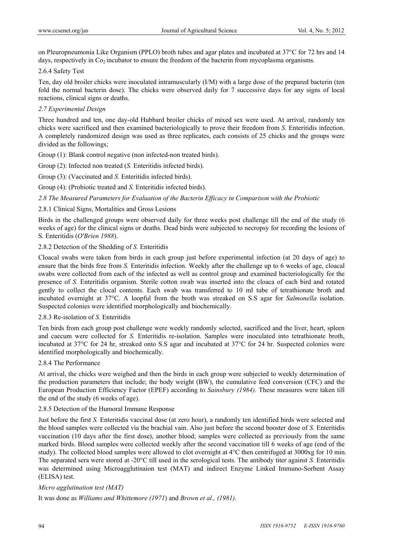on Pleuropneumonia Like Organism (PPLO) broth tubes and agar plates and incubated at 37°C for 72 hrs and 14 days, respectively in  $Co<sub>2</sub>$  incubator to ensure the freedom of the bacterin from mycoplasma organisms.

#### 2.6.4 Safety Test

Ten, day old broiler chicks were inoculated intramuscularly (I/M) with a large dose of the prepared bacterin (ten fold the normal bacterin dose). The chicks were observed daily for 7 successive days for any signs of local reactions, clinical signs or deaths.

# *2.7 Experimental Design*

Three hundred and ten, one day-old Hubbard broiler chicks of mixed sex were used. At arrival, randomly ten chicks were sacrificed and then examined bacteriologically to prove their freedom from *S.* Enteritidis infection. A completely randomized design was used as three replicates, each consists of 25 chicks and the groups were divided as the followings;

Group (1): Blank control negative (non infected-non treated birds).

Group (2): Infected non treated (*S.* Enteritidis infected birds).

Group (3): (Vaccinated and *S.* Enteritidis infected birds).

Group (4): (Probiotic treated and *S.* Enteritidis infected birds).

# *2.8 The Measured Parameters for Evaluation of the Bacterin Efficacy in Comparison with the Probiotic*

2.8.1 Clinical Signs, Mortalities and Gross Lesions

Birds in the challenged groups were observed daily for three weeks post challenge till the end of the study (6 weeks of age) for the clinical signs or deaths. Dead birds were subjected to necropsy for recording the lesions of S. Enteritidis (*O'Brien 1988*).

# 2.8.2 Detection of the Shedding of *S.* Enteritidis

Cloacal swabs were taken from birds in each group just before experimental infection (at 20 days of age) to ensure that the birds free from *S.* Enteritidis infection. Weekly after the challenge up to 6 weeks of age, cloacal swabs were collected from each of the infected as well as control group and examined bacteriologically for the presence of *S.* Enteritidis organism. Sterile cotton swab was inserted into the cloaca of each bird and rotated gently to collect the clocal contents. Each swab was transferred to 10 ml tube of tetrathionate broth and incubated overnight at 37°C. A loopful from the broth was streaked on S.S agar for *Salmonella* isolation. Suspected colonies were identified morphologically and biochemically.

# 2.8.3 Re-isolation of *S.* Enteritidis

Ten birds from each group post challenge were weekly randomly selected, sacrificed and the liver, heart, spleen and caecum were collected for *S.* Enteritidis re-isolation. Samples were inoculated into tetrathionate broth, incubated at 37°C for 24 hr, streaked onto S.S agar and incubated at 37°C for 24 hr. Suspected colonies were identified morphologically and biochemically.

# 2.8.4 The Performance

At arrival, the chicks were weighed and then the birds in each group were subjected to weekly determination of the production parameters that include; the body weight (BW), the cumulative feed conversion (CFC) and the European Production Efficiency Factor (EPEF) according to *Sainsbury (1984)*. These measures were taken till the end of the study (6 weeks of age).

# 2.8.5 Detection of the Humoral Immune Response

Just before the first *S.* Enteritidis vaccinal dose (at zero hour), a randomly ten identified birds were selected and the blood samples were collected via the brachial vain. Also just before the second booster dose of *S.* Enteritidis vaccination (10 days after the first dose), another blood; samples were collected as previously from the same marked birds. Blood samples were collected weekly after the second vaccination till 6 weeks of age (end of the study). The collected blood samples were allowed to clot overnight at 4°C then centrifuged at 3000xg for 10 min. The separated sera were stored at -20°C till used in the serological tests. The antibody titer against *S.* Enteritidis was determined using Microagglutinaion test (MAT) and indirect Enzyme Linked Immuno-Sorbent Assay (ELISA) test.

# *Micro agglutination test (MAT)*

It was done as *Williams and Whittemore (1971*) and *Brown et al., (1981)*.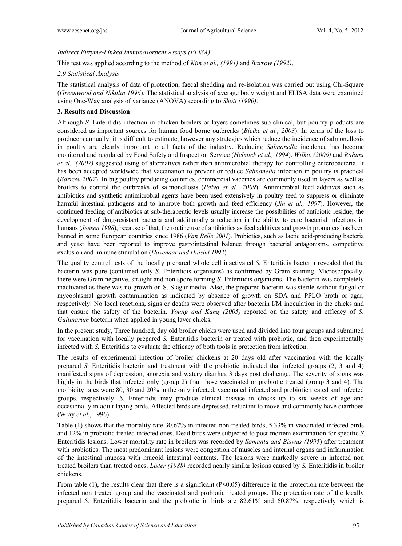#### *Indirect Enzyme-Linked Immunosorbent Assays (ELISA)*

This test was applied according to the method of *Kim et al., (1991)* and *Barrow (1992)*.

#### *2.9 Statistical Analysis*

The statistical analysis of data of protection, faecal shedding and re-isolation was carried out using Chi-Square (*Greenwood and Nikulin 1996*). The statistical analysis of average body weight and ELISA data were examined using One-Way analysis of variance (ANOVA) according to *Shott (1990)*.

#### **3. Results and Discussion**

Although *S.* Enteritidis infection in chicken broilers or layers sometimes sub-clinical, but poultry products are considered as important sources for human food borne outbreaks (*Bielke et al., 2003*). In terms of the loss to producers annually, it is difficult to estimate, however any strategies which reduce the incidence of salmonellosis in poultry are clearly important to all facts of the industry. Reducing *Salmonella* incidence has become monitored and regulated by Food Safety and Inspection Service (*Helmick et al., 1994*). *Wilkie (2006)* and *Rahimi et al., (2007)* suggested using of alternatives rather than antimicrobial therapy for controlling enterobacteria. It has been accepted worldwide that vaccination to prevent or reduce *Salmonella* infection in poultry is practical (*Barrow 2007*). In big poultry producing countries, commercial vaccines are commonly used in layers as well as broilers to control the outbreaks of salmonellosis (*Paiva et al., 2009*). Antimicrobial feed additives such as antibiotics and synthetic antimicrobial agents have been used extensively in poultry feed to suppress or eliminate harmful intestinal pathogens and to improve both growth and feed efficiency (*Jin et al., 1997*). However, the continued feeding of antibiotics at sub-therapeutic levels usually increase the possibilities of antibiotic residue, the development of drug-resistant bacteria and additionally a reduction in the ability to cure bacterial infections in humans (*Jensen 1998*), because of that, the routine use of antibiotics as feed additives and growth promoters has been banned in some European countries since 1986 (*Van Belle 2001*). Probiotics, such as lactic acid-producing bacteria and yeast have been reported to improve gastrointestinal balance through bacterial antagonisms, competitive exclusion and immune stimulation (*Havenaar and Huisint 1992*).

The quality control tests of the locally prepared whole cell inactivated *S.* Enteritidis bacterin revealed that the bacterin was pure (contained only *S.* Enteritidis organisms) as confirmed by Gram staining. Microscopically, there were Gram negative, straight and non spore forming *S.* Enteritidis organisms. The bacterin was completely inactivated as there was no growth on S. S agar media. Also, the prepared bacterin was sterile without fungal or mycoplasmal growth contamination as indicated by absence of growth on SDA and PPLO broth or agar, respectively. No local reactions, signs or deaths were observed after bacterin I/M inoculation in the chicks and that ensure the safety of the bacterin. *Young and Kang (2005)* reported on the safety and efficacy of *S*. *Gallinarum* bacterin when applied in young layer chicks.

In the present study, Three hundred, day old broiler chicks were used and divided into four groups and submitted for vaccination with locally prepared *S.* Enteritidis bacterin or treated with probiotic, and then experimentally infected with *S.* Enteritidis to evaluate the efficacy of both tools in protection from infection.

The results of experimental infection of broiler chickens at 20 days old after vaccination with the locally prepared *S.* Enteritidis bacterin and treatment with the probiotic indicated that infected groups (2, 3 and 4) manifested signs of depression, anorexia and watery diarrhea 3 days post challenge. The severity of signs was highly in the birds that infected only (group 2) than those vaccinated or probiotic treated (group 3 and 4). The morbidity rates were 80, 30 and 20% in the only infected, vaccinated infected and probiotic treated and infected groups, respectively. *S.* Enteritidis may produce clinical disease in chicks up to six weeks of age and occasionally in adult laying birds. Affected birds are depressed, reluctant to move and commonly have diarrhoea (Wray *et al.*, 1996).

Table (1) shows that the mortality rate 30.67% in infected non treated birds, 5.33% in vaccinated infected birds and 12% in probiotic treated infected ones. Dead birds were subjected to post-mortem examination for specific *S.* Enteritidis lesions. Lower mortality rate in broilers was recorded by *Samanta and Biswas (1995*) after treatment with probiotics. The most predominant lesions were congestion of muscles and internal organs and inflammation of the intestinal mucosa with mucoid intestinal contents. The lesions were markedly severe in infected non treated broilers than treated ones. *Lister (1988)* recorded nearly similar lesions caused by *S.* Enteritidis in broiler chickens.

From table (1), the results clear that there is a significant ( $P \le 0.05$ ) difference in the protection rate between the infected non treated group and the vaccinated and probiotic treated groups. The protection rate of the locally prepared *S.* Enteritidis bacterin and the probiotic in birds are 82.61% and 60.87%, respectively which is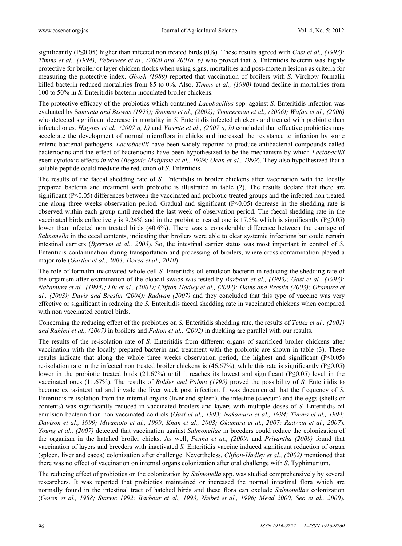significantly (P≤0.05) higher than infected non treated birds (0%). These results agreed with *Gast et al., (1993)*; *Timms et al., (1994); Feberwee et al., (2000 and 2001a, b)* who proved that *S.* Enteritidis bacterin was highly protective for broiler or layer chicken flocks when using signs, mortalities and post-mortem lesions as criteria for measuring the protective index. *Ghosh (1989)* reported that vaccination of broilers with *S.* Virchow formalin killed bacterin reduced mortalities from 85 to 0%. Also, *Timms et al., (1990)* found decline in mortalities from 100 to 50% in *S.* Enteritidis bacterin inoculated broiler chickens.

The protective efficacy of the probiotics which contained *Lacobacillus* spp. against *S.* Enteritidis infection was evaluated by S*amanta and Biswas (1995); Soomro et al., (2002); Timmerman et al., (2006); Wafaa et al., (2006)* who detected significant decrease in mortality in *S*. Enteritidis infected chickens and treated with probiotic than infected ones. *Higgins et al., (2007 a, b)* and *Vicente et al*., *(2007 a, b)* concluded that effective probiotics may accelerate the development of normal microflora in chicks and increased the resistance to infection by some enteric bacterial pathogens. *Lactobacilli* have been widely reported to produce antibacterial compounds called bacteriocins and the effect of bacteriocins have been hypothesized to be the mechanism by which *Lactobacilli*  exert cytotoxic effects *in vivo* (*Bogovic-Matijasic et al,. 1998; Ocan et al., 1999*). They also hypothesized that a soluble peptide could mediate the reduction of *S.* Enteritidis.

The results of the faecal shedding rate of *S.* Enteritidis in broiler chickens after vaccination with the locally prepared bacterin and treatment with probiotic is illustrated in table (2). The results declare that there are significant (P≤0.05) differences between the vaccinated and probiotic treated groups and the infected non treated one along three weeks observation period. Gradual and significant (P≤0.05) decrease in the shedding rate is observed within each group until reached the last week of observation period. The faecal shedding rate in the vaccinated birds collectively is 9.24% and in the probiotic treated one is 17.5% which is significantly ( $P \le 0.05$ ) lower than infected non treated birds (40.6%). There was a considerable difference between the carriage of *Salmonella* in the cecal contents, indicating that broilers were able to clear systemic infections but could remain intestinal carriers (*Bjerrum et al., 2003*). So, the intestinal carrier status was most important in control of *S.* Enteritidis contamination during transportation and processing of broilers, where cross contamination played a major role (*Gurtler et al., 2004; Dorea et al., 2010*).

The role of formalin inactivated whole cell *S.* Enteritidis oil emulsion bacterin in reducing the shedding rate of the organism after examination of the cloacal swabs was tested by *Barbour et al., (1993); Gast et al., (1993); Nakamura et al., (1994); Liu et al., (2001); Clifton-Hadley et al., (2002); Davis and Breslin (2003); Okamura et al., (2003); Davis and Breslin (2004); Radwan (2007)* and they concluded that this type of vaccine was very effective or significant in reducing the *S.* Enteritidis faecal shedding rate in vaccinated chickens when compared with non vaccinated control birds.

Concerning the reducing effect of the probiotics on *S.* Enteritidis shedding rate, the results of *Tellez et al., (2001) and Rahimi et al., (2007)* in broilers and *Fulton et al., (2002)* in duckling are parallel with our results.

The results of the re-isolation rate of *S.* Enteritidis from different organs of sacrificed broiler chickens after vaccination with the locally prepared bacterin and treatment with the probiotic are shown in table (3). These results indicate that along the whole three weeks observation period, the highest and significant (P≤0.05) re-isolation rate in the infected non treated broiler chickens is (46.67%), while this rate is significantly (P≤0.05) lower in the probiotic treated birds (21.67%) until it reaches its lowest and significant (P≤0.05) level in the vaccinated ones (11.67%). The results of *Bolder and Palmu (1995)* proved the possibility of *S.* Enteritidis to become extra-intestinal and invade the liver week post infection. It was documented that the frequency of *S.* Enteritidis re-isolation from the internal organs (liver and spleen), the intestine (caecum) and the eggs (shells or contents) was significantly reduced in vaccinated broilers and layers with multiple doses of *S.* Enteritidis oil emulsion bacterin than non vaccinated controls (*Gast et al., 1993; Nakamura et al., 1994; Timms et al., 1994; Davison et al., 1999; Miyamoto et al., 1999; Khan et al., 2003; Okamura et al., 2007; Radwan et al., 2007*). *Young et al., (2007)* detected that vaccination against *Salmonellae* in breeders could reduce the colonization of the organism in the hatched broiler chicks. As well, *Penha et al., (2009)* and *Priyantha (2009)* found that vaccination of layers and breeders with inactivated *S.* Enteritidis vaccine induced significant reduction of organ (spleen, liver and caeca) colonization after challenge. Nevertheless, *Clifton-Hadley et al., (2002)* mentioned that there was no effect of vaccination on internal organs colonization after oral challenge with *S*. Typhimurium.

The reducing effect of probiotics on the colonization by *Salmonella* spp. was studied comprehensively by several researchers. It was reported that probiotics maintained or increased the normal intestinal flora which are normally found in the intestinal tract of hatched birds and these flora can exclude *Salmonellae* colonization (*Goren et al., 1988; Starvic 1992; Barbour et al., 1993; Nisbet et al., 1996; Mead 2000; Seo et al., 2000*).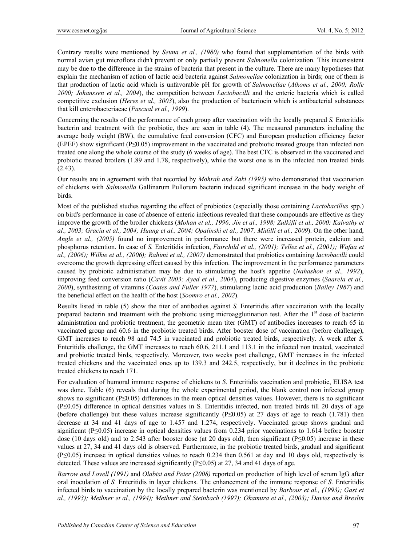Contrary results were mentioned by *Seuna et al., (1980)* who found that supplementation of the birds with normal avian gut microflora didn't prevent or only partially prevent *Salmonella* colonization. This inconsistent may be due to the difference in the strains of bacteria that present in the culture. There are many hypotheses that explain the mechanism of action of lactic acid bacteria against *Salmonellae* colonization in birds; one of them is that production of lactic acid which is unfavorable pH for growth of *Salmonellae* (*Alkoms et al., 2000; Rolfe 2000; Johanssen et al., 2004*), the competition between *Lactobacilli* and the enteric bacteria which is called competitive exclusion (*Heres et al., 3003*), also the production of bacteriocin which is antibacterial substances that kill enterobacteriacae (*Pascual et al., 1999*).

Concerning the results of the performance of each group after vaccination with the locally prepared *S.* Enteritidis bacterin and treatment with the probiotic, they are seen in table (4). The measured parameters including the average body weight (BW), the cumulative feed conversion (CFC) and European production efficiency factor (EPEF) show significant (P≤0.05) improvement in the vaccinated and probiotic treated groups than infected non treated one along the whole course of the study (6 weeks of age). The best CFC is observed in the vaccinated and probiotic treated broilers (1.89 and 1.78, respectively), while the worst one is in the infected non treated birds (2.43).

Our results are in agreement with that recorded by *Mohrah and Zaki (1995)* who demonstrated that vaccination of chickens with *Salmonella* Gallinarum Pullorum bacterin induced significant increase in the body weight of birds.

Most of the published studies regarding the effect of probiotics (especially those containing *Lactobacillus* spp.) on bird's performance in case of absence of enteric infections revealed that these compounds are effective as they improve the growth of the broiler chickens (*Mohan et al., 1996; Jin et al., 1998; Zulkifli et al., 2000; Kalvathy et al., 2003; Gracia et al., 2004; Huang et al., 2004; Opalinski et al., 2007; Midilli et al., 2009*). On the other hand, *Angle et al., (2005)* found no improvement in performance but there were increased protein, calcium and phosphorus retention. In case of *S.* Enteritidis infection, *Fairchild et al., (2001); Tellez et al., (2001); Wafaa et al., (2006); Wilkie et al., (2006); Rahimi et al., (2007)* demonstrated that probiotics containing *lactobacilli* could overcome the growth depressing effect caused by this infection. The improvement in the performance parameters caused by probiotic administration may be due to stimulating the host's appetite (*Nahashon et al., 1992*), improving feed conversion ratio (*Cavit 2003; Ayed et al., 2004*), producing digestive enzymes (*Saarela et al., 2000*), synthesizing of vitamins (*Coates and Fuller 1977*), stimulating lactic acid production (*Bailey 1987*) and the beneficial effect on the health of the host (*Soomro et al., 2002*).

Results listed in table (5) show the titer of antibodies against *S.* Enteritidis after vaccination with the locally prepared bacterin and treatment with the probiotic using microagglutination test. After the  $1<sup>st</sup>$  dose of bacterin administration and probiotic treatment, the geometric mean titer (GMT) of antibodies increases to reach 65 in vaccinated group and 60.6 in the probiotic treated birds. After booster dose of vaccination (before challenge), GMT increases to reach 98 and 74.5 in vaccinated and probiotic treated birds, respectively. A week after *S.* Enteritidis challenge, the GMT increases to reach 60.6, 211.1 and 113.1 in the infected non treated, vaccinated and probiotic treated birds, respectively. Moreover, two weeks post challenge, GMT increases in the infected treated chickens and the vaccinated ones up to 139.3 and 242.5, respectively, but it declines in the probiotic treated chickens to reach 171.

For evaluation of humoral immune response of chickens to *S.* Enteritidis vaccination and probiotic, ELISA test was done. Table (6) reveals that during the whole experimental period, the blank control non infected group shows no significant (P≤0.05) differences in the mean optical densities values. However, there is no significant (P≤0.05) difference in optical densities values in S*.* Enteritidis infected, non treated birds till 20 days of age (before challenge) but these values increase significantly ( $P\leq 0.05$ ) at 27 days of age to reach (1.781) then decrease at 34 and 41 days of age to 1.457 and 1.274, respectively. Vaccinated group shows gradual and significant (P≤0.05) increase in optical densities values from 0.234 prior vaccinations to 1.614 before booster dose (10 days old) and to 2.543 after booster dose (at 20 days old), then significant ( $P \le 0.05$ ) increase in these values at 27, 34 and 41 days old is observed. Furthermore, in the probiotic treated birds, gradual and significant (P≤0.05) increase in optical densities values to reach 0.234 then 0.561 at day and 10 days old, respectively is detected. These values are increased significantly (P≤0.05) at 27, 34 and 41 days of age.

*Barrow and Lovell (1991)* and *Olabisi and Peter (2008)* reported on production of high level of serum IgG after oral inoculation of *S.* Enteritidis in layer chickens. The enhancement of the immune response of *S.* Enteritidis infected birds to vaccination by the locally prepared bacterin was mentioned by *Barbour et al., (1993); Gast et al., (1993); Methner et al., (1994); Methner and Steinbach (1997); Okamura et al., (2003); Davies and Breslin*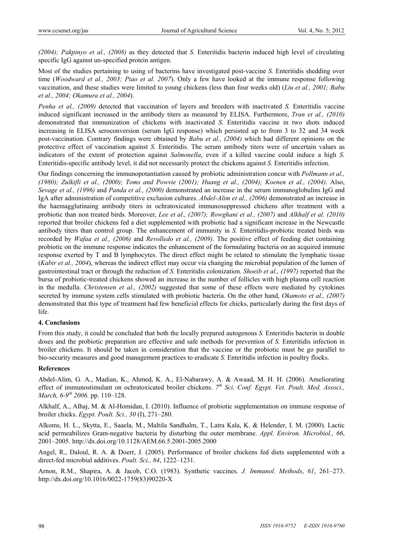*(2004); Pakpinyo et al., (2008)* as they detected that *S.* Enteritidis bacterin induced high level of circulating specific IgG against un-specified protein antigen.

Most of the studies pertaining to using of bacterins have investigated post-vaccine *S.* Enteritidis shedding over time (*Woodward et al., 2003; Piao et al. 2007*). Only a few have looked at the immune response following vaccination, and these studies were limited to young chickens (less than four weeks old) (*Liu et al., 2001; Babu et al., 2004; Okamura et al., 2004*).

*Penha et al., (2009)* detected that vaccination of layers and breeders with inactivated *S.* Enteritidis vaccine induced significant increased in the antibody titers as measured by ELISA. Furthermore, *Tran et al., (2010)* demonstrated that immunization of chickens with inactivated *S.* Enteritidis vaccine in two shots induced increasing in ELISA seroconversion (serum IgG response) which persisted up to from 3 to 32 and 34 week post-vaccination. Contrary findings were obtained by *Babu et al., (2004)* which had different opinions on the protective effect of vaccination against *S.* Enteritidis. The serum antibody titers were of uncertain values as indicators of the extent of protection against *Salmonella*, even if a killed vaccine could induce a high *S.* Enteritidis-specific antibody level, it did not necessarily protect the chickens against *S.* Enteritidis infection.

Our findings concerning the immunopotantiation caused by probiotic administration concur with *Pollmann et al., (1980); Zulkifli et al., (2000); Toms and Powvie (2001); Huang et al., (2004); Koenen et al., (2004)*. Also, *Sevage et al., (1996)* and *Panda et al., (2000)* demonstrated an increase in the serum immunoglobulins IgG and IgA after administration of competitive exclusion cultures. *Abdel-Alim et al., (2006)* demonstrated an increase in the haemagglutinaing antibody titers in ochratoxicated immunosuppressed chickens after treatment with a probiotic than non treated birds. Moreover, *Lee et al., (2007); Rowghani et al., (2007)* and *Alkhalf et al. (2010)* reported that broiler chickens fed a diet supplemented with probiotic had a significant increase in the Newcastle antibody titers than control group. The enhancement of immunity in *S.* Enteritidis-probiotic treated birds was recorded by *Wafaa et al., (2006)* and *Revolledo et al., (2009)*. The positive effect of feeding diet containing probiotic on the immune response indicates the enhancement of the formulating bacteria on an acquired immune response exerted by T and B lymphocytes. The direct effect might be related to stimulate the lymphatic tissue (*Kabir et al., 2004*), whereas the indirect effect may occur via changing the microbial population of the lumen of gastrointestinal tract or through the reduction of *S.* Enteritidis colonization. *Shoeib et al., (1997)* reported that the bursa of probiotic-treated chickens showed an increase in the number of follicles with high plasma cell reaction in the medulla. *Christensen et al., (2002)* suggested that some of these effects were mediated by cytokines secreted by immune system cells stimulated with probiotic bacteria. On the other hand, *Okamoto et al., (2007)* demonstrated that this type of treatment had few beneficial effects for chicks, particularly during the first days of life.

#### **4. Conclusions**

From this study, it could be concluded that both the locally prepared autogenous *S.* Enteritidis bacterin in double doses and the probiotic preparation are effective and safe methods for prevention of *S.* Enteritidis infection in broiler chickens. It should be taken in consideration that the vaccine or the probiotic must be go parallel to bio-security measures and good management practices to eradicate *S.* Enteritidis infection in poultry flocks.

#### **References**

Abdel-Alim, G. A., Madian, K., Ahmed, K. A., El-Nabarawy, A. & Awaad, M. H. H. (2006). Ameliorating effect of immunostimulant on ochratoxicated broiler chickens. *7th Sci. Conf. Egypt. Vet. Poult. Med. Associ., March, 6-9th 2006.* pp. 110–128.

Alkhalf, A., Alhaj, M. & Al-Homidan, I. (2010). Influence of probiotic supplementation on immune response of broiler chicks. *Egypt. Poult. Sci., 30* (I), 271–280.

Alkoms, H. L., Skytta, E., Saaela, M., Maltila Sandhalm, T., Latra Kala, K. & Helender, I. M. (2000). Lactic acid permeabilizes Gram-negative bacteria by disturbing the outer membrane. *Appl. Environ. Microbiol., 66*, 2001–2005. http://dx.doi.org/10.1128/AEM.66.5.2001-2005.2000

Angel, R., Daloul, R. A. & Doerr, J. (2005). Performance of broiler chickens fed diets supplemented with a direct-fed microbial additives. *Poult. Sci., 84*, 1222–1231.

Arnon, R.M., Shapira, A. & Jacob, C.O. (1983). Synthetic vaccines. *J. Immunol. Methods*, *61*, 261–273. http://dx.doi.org/10.1016/0022-1759(83)90220-X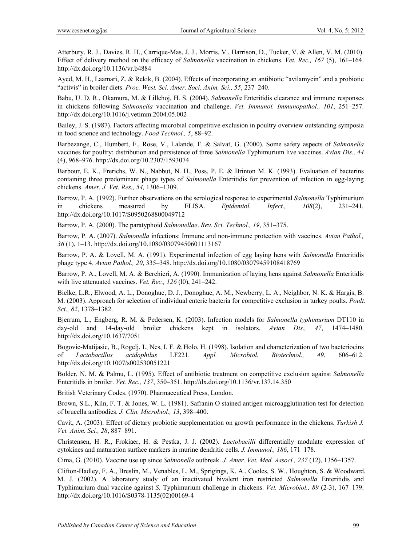Atterbury, R. J., Davies, R. H., Carrique-Mas, J. J., Morris, V., Harrison, D., Tucker, V. & Allen, V. M. (2010). Effect of delivery method on the efficacy of *Salmonella* vaccination in chickens. *Vet. Rec., 167* (5), 161–164. http://dx.doi.org/10.1136/vr.b4884

Ayed, M. H., Laamari, Z. & Rekik, B. (2004). Effects of incorporating an antibiotic "avilamycin" and a probiotic "activis" in broiler diets. *Proc. West. Sci. Amer. Soci. Anim. Sci., 55*, 237–240.

Babu, U. D. R., Okamura, M. & Lillehoj, H. S. (2004). *Salmonella* Enteritidis clearance and immune responses in chickens following *Salmonella* vaccination and challenge. *Vet. Immunol. Immunopathol., 101*, 251–257. http://dx.doi.org/10.1016/j.vetimm.2004.05.002

Bailey, J. S. (1987). Factors affecting microbial competitive exclusion in poultry overview outstanding symposia in food science and technology. *Food Technol., 5*, 88–92.

Barbezange, C., Humbert, F., Rose, V., Lalande, F. & Salvat, G. (2000). Some safety aspects of *Salmonella* vaccines for poultry: distribution and persistence of three *Salmonella* Typhimurium live vaccines. *Avian Dis., 44* (4), 968–976. http://dx.doi.org/10.2307/1593074

Barbour, E. K., Frerichs, W. N., Nabbut, N. H., Poss, P. E. & Brinton M. K. (1993). Evaluation of bacterins containing three predominant phage types of *Salmonella* Enteritidis for prevention of infection in egg-laying chickens. *Amer. J. Vet. Res., 54,* 1306–1309.

Barrow, P. A. (1992). Further observations on the serological response to experimental *Salmonella* Typhimurium in chickens measured by ELISA. *Epidemiol. Infect., 108*(2), 231–241*.* http://dx.doi.org/10.1017/S0950268800049712

Barrow, P. A. (2000). The paratyphoid *Salmonellae*. *Rev. Sci. Technol., 19*, 351–375.

Barrow, P. A. (2007). *Salmonella* infections: Immune and non-immune protection with vaccines. *Avian Pathol., 36* (1), 1–13. http://dx.doi.org/10.1080/03079450601113167

Barrow, P. A. & Lovell, M. A. (1991). Experimental infection of egg laying hens with *Salmonella* Enteritidis phage type 4. *Avian Pathol., 20*, 335–348. http://dx.doi.org/10.1080/03079459108418769

Barrow, P. A., Lovell, M. A. & Berchieri, A. (1990). Immunization of laying hens against *Salmonella* Enteritidis with live attenuated vaccines. *Vet. Rec., 126* (l0), 241–242.

Bielke, L.R., Elwood, A. L., Donoghue, D. J., Donoghue, A. M., Newberry, L. A., Neighbor, N. K. & Hargis, B. M. (2003). Approach for selection of individual enteric bacteria for competitive exclusion in turkey poults. *Poult. Sci., 82*, 1378–1382.

Bjerrum, L., Engberg, R. M. & Pedersen, K. (2003). Infection models for *Salmonella typhimurium* DT110 in day-old and 14-day-old broiler chickens kept in isolators. *Avian Dis., 47*, 1474–1480. http://dx.doi.org/10.1637/7051

Bogovic-Matijasic, B., Rogelj, I., Nes, I. F. & Holo, H. (1998). Isolation and characterization of two bacteriocins of *Lactobacillus acidophilus* LF221. *Appl. Microbiol. Biotechnol., 49*, 606–612. http://dx.doi.org/10.1007/s002530051221

Bolder, N. M. & Palmu, L. (1995). Effect of antibiotic treatment on competitive exclusion against *Salmonella*  Enteritidis in broiler. *Vet. Rec., 137*, 350–351. http://dx.doi.org/10.1136/vr.137.14.350

British Veterinary Codes. (1970). Pharmaceutical Press, London.

Brown, S.L., Kiln, F. T. & Jones, W. L. (1981). Safranin O stained antigen microagglutination test for detection of brucella antibodies. *J. Clin. Microbiol., 13*, 398–400.

Cavit, A. (2003). Effect of dietary probiotic supplementation on growth performance in the chickens. *Turkish J. Vet. Anim. Sci., 28*, 887–891.

Christensen, H. R., Frokiaer, H. & Pestka, J. J. (2002). *Lactobacilli* differentially modulate expression of cytokines and maturation surface markers in murine dendritic cells. *J. Immunol., 186*, 171–178.

Cima, G. (2010). Vaccine use up since *Salmonella* outbreak. *J. Amer. Vet. Med. Associ., 237* (12), 1356–1357.

Clifton-Hadley, F. A., Breslin, M., Venables, L. M., Sprigings, K. A., Cooles, S. W., Houghton, S. & Woodward, M. J. (2002). A laboratory study of an inactivated bivalent iron restricted *Salmonella* Enteritidis and Typhimurium dual vaccine against *S.* Typhimurium challenge in chickens. *Vet. Microbiol., 89* (2-3), 167–179. http://dx.doi.org/10.1016/S0378-1135(02)00169-4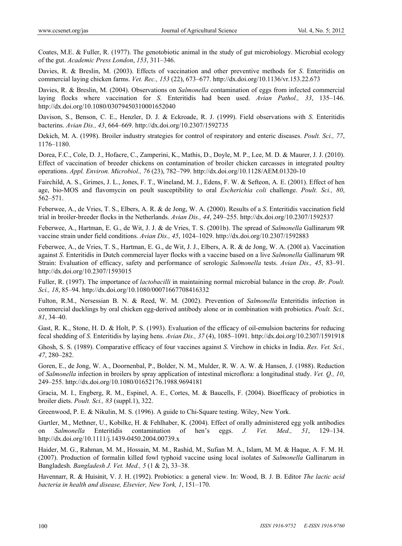Coates, M.E. & Fuller, R. (1977). The genotobiotic animal in the study of gut microbiology. Microbial ecology of the gut. *Academic Press London*, *153*, 311–346.

Davies, R. & Breslin, M. (2003). Effects of vaccination and other preventive methods for *S*. Enteritidis on commercial laying chicken farms. *Vet. Rec., 153* (22), 673–677. http://dx.doi.org/10.1136/vr.153.22.673

Davies, R. & Breslin, M. (2004). Observations on *Salmonella* contamination of eggs from infected commercial laying flocks where vaccination for *S*. Enteritidis had been used. *Avian Pathol., 33*, 135–146. http://dx.doi.org/10.1080/03079450310001652040

Davison, S., Benson, C. E., Henzler, D. J. & Eckroade, R. J. (1999). Field observations with *S*. Enteritidis bacterins. *Avian Dis., 43*, 664–669. http://dx.doi.org/10.2307/1592735

Dekich, M. A. (1998). Broiler industry strategies for control of respiratory and enteric diseases. *Poult. Sci., 77*, 1176–1180.

Dorea, F.C., Cole, D. J., Hofacre, C., Zamperini, K., Mathis, D., Doyle, M. P., Lee, M. D. & Maurer, J. J. (2010). Effect of vaccination of breeder chickens on contamination of broiler chicken carcasses in integrated poultry operations. *Appl. Environ. Microbiol., 76* (23), 782–799. http://dx.doi.org/10.1128/AEM.01320-10

Fairchild, A. S., Grimes, J. L., Jones, F. T., Wineland, M. J., Edens, F. W. & Sefteon, A. E. (2001). Effect of hen age, bio-MOS and flavomycin on poult susceptibility to oral *Escherichia coli* challenge. *Poult. Sci., 80*, 562–571.

Feberwee, A., de Vries, T. S., Elbers, A. R. & de Jong, W. A. (2000). Results of a *S*. Enteritidis vaccination field trial in broiler-breeder flocks in the Netherlands. *Avian Dis., 44*, 249–255. http://dx.doi.org/10.2307/1592537

Feberwee, A., Hartman, E. G., de Wit, J. J. & de Vries, T. S. (2001b). The spread of *Salmonella* Gallinarum 9R vaccine strain under field conditions. *Avian Dis., 45*, 1024–1029. http://dx.doi.org/10.2307/1592883

Feberwee, A., de Vries, T. S., Hartman, E. G., de Wit, J. J., Elbers, A. R. & de Jong, W. A. (200l a). Vaccination against *S*. Enteritidis in Dutch commercial layer flocks with a vaccine based on a live *Salmonella* Gallinarum 9R Strain: Evaluation of efficacy, safety and performance of serologic *Salmonella* tests. *Avian Dis., 45*, 83–91. http://dx.doi.org/10.2307/1593015

Fuller, R. (1997). The importance of *lactobacilli* in maintaining normal microbial balance in the crop. *Br. Poult. Sci., 18*, 85–94. http://dx.doi.org/10.1080/00071667708416332

Fulton, R.M., Nersessian B. N. & Reed, W. M. (2002). Prevention of *Salmonella* Enteritidis infection in commercial ducklings by oral chicken egg-derived antibody alone or in combination with probiotics. *Poult. Sci., 81*, 34–40.

Gast, R. K., Stone, H. D. & Holt, P. S. (1993). Evaluation of the efficacy of oil-emulsion bacterins for reducing fecal shedding of *S*. Enteritidis by laying hens. *Avian Dis., 37* (4), 1085–1091. http://dx.doi.org/10.2307/1591918

Ghosh, S. S. (1989). Comparative efficacy of four vaccines against *S*. Virchow in chicks in India. *Res. Vet. Sci., 47*, 280–282.

Goren, E., de Jong, W. A., Doornenbal, P., Bolder, N. M., Mulder, R. W. A. W. & Hansen, J. (1988). Reduction of *Salmonella* infection in broilers by spray application of intestinal microflora: a longitudinal study. *Vet. Q., 10*, 249–255. http://dx.doi.org/10.1080/01652176.1988.9694181

Gracia, M. I., Engberg, R. M., Espinel, A. E., Cortes, M. & Baucells, F. (2004). Bioefficacy of probiotics in broiler diets. *Poult. Sci., 83* (suppl.1), 322.

Greenwood, P. E. & Nikulin, M. S. (1996). A guide to Chi-Square testing. Wiley, New York.

Gurtler, M., Methner, U., Kobilke, H. & Fehlhaber, K. (2004). Effect of orally administered egg yolk antibodies Salmonella Enteritidis contamination of hen's eggs. *J. Vet. Med.*, 51, 129–134. http://dx.doi.org/10.1111/j.1439-0450.2004.00739.x

Haider, M. G., Rahman, M. M., Hossain, M. M., Rashid, M., Sufian M. A., Islam, M. M. & Haque, A. F. M. H. (2007). Production of formalin killed fowl typhoid vaccine using local isolates of *Salmonella* Gallinarum in Bangladesh. *Bangladesh J. Vet. Med., 5* (1 & 2), 33–38.

Havennarr, R. & Huisinit, V. J. H. (1992). Probiotics: a general view. In: Wood, B. J. B. Editor *The lactic acid bacteria in health and disease, Elsevier, New York, 1*, 151–170.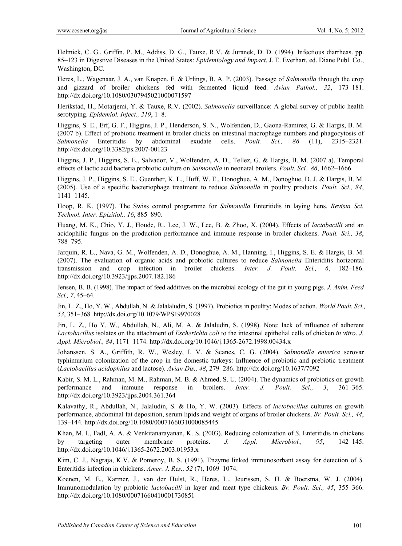Helmick, C. G., Griffin, P. M., Addiss, D. G., Tauxe, R.V. & Juranek, D. D. (1994). Infectious diarrheas. pp. 85–123 in Digestive Diseases in the United States: *Epidemiology and Impact*. J. E. Everhart, ed. Diane Publ. Co., Washington, DC.

Heres, L., Wagenaar, J. A., van Knapen, F. & Urlings, B. A. P. (2003). Passage of *Salmonella* through the crop and gizzard of broiler chickens fed with fermented liquid feed. *Avian Pathol., 32*, 173–181. http://dx.doi.org/10.1080/0307945021000071597

Herikstad, H., Motarjemi, Y. & Tauxe, R.V. (2002). *Salmonella* surveillance: A global survey of public health serotyping. *Epidemiol. Infect., 219*, 1–8.

Higgins, S. E., Erf, G. F., Higgins, J. P., Henderson, S. N., Wolfenden, D., Gaona-Ramirez, G. & Hargis, B. M. (2007 b). Effect of probiotic treatment in broiler chicks on intestinal macrophage numbers and phagocytosis of *Salmonella* Enteritidis by abdominal exudate cells. *Poult. Sci., 86* (11), 2315–2321. http://dx.doi.org/10.3382/ps.2007-00123

Higgins, J. P., Higgins, S. E., Salvador, V., Wolfenden, A. D., Tellez, G. & Hargis, B. M. (2007 a). Temporal effects of lactic acid bacteria probiotic culture on *Salmonella* in neonatal broilers. *Poult. Sci., 86*, 1662–1666.

Higgins, J. P., Higgins, S. E., Guenther, K. L., Huff, W. E., Donoghue, A. M., Donoghue, D. J. & Hargis, B. M. (2005). Use of a specific bacteriophage treatment to reduce *Salmonella* in poultry products. *Poult. Sci., 84*, 1141–1145.

Hoop, R. K. (1997). The Swiss control programme for *Salmonella* Enteritidis in laying hens. *Revista Sci. Technol. Inter. Epizitiol., 16*, 885–890.

Huang, M. K., Chio, Y. J., Houde, R., Lee, J. W., Lee, B. & Zhoo, X. (2004). Effects of *lactobacilli* and an acidophilic fungus on the production performance and immune response in broiler chickens. *Poult. Sci., 38*, 788–795.

Jarquin, R. L., Nava, G. M., Wolfenden, A. D., Donoghue, A. M., Hanning, I., Higgins, S. E. & Hargis, B. M. (2007). The evaluation of organic acids and probiotic cultures to reduce *Salmonella* Enteriditis horizontal transmission and crop infection in broiler chickens. *Inter. J. Poult. Sci., 6*, 182–186. http://dx.doi.org/10.3923/ijps.2007.182.186

Jensen, B. B. (1998). The impact of feed additives on the microbial ecology of the gut in young pigs. *J. Anim. Feed Sci., 7*, 45–64.

Jin, L. Z., Ho, Y. W., Abdullah, N. & Jalalaludin, S. (1997). Probiotics in poultry: Modes of action. *World Poult. Sci., 53*, 351–368. http://dx.doi.org/10.1079/WPS19970028

Jin, L. Z., Ho Y. W., Abdullah, N., Ali, M. A. & Jalaludin, S. (1998). Note: lack of influence of adherent *Lactobacillus* isolates on the attachment of *Escherichia coli* to the intestinal epithelial cells of chicken *in vitro*. *J. Appl. Microbiol., 84*, 1171–1174. http://dx.doi.org/10.1046/j.1365-2672.1998.00434.x

Johanssen, S. A., Griffith, R. W., Wesley, I. V. & Scanes, C. G. (2004). *Salmonella enterica* serovar typhimurium colonization of the crop in the domestic turkeys: Influence of probiotic and prebiotic treatment (*Lactobacillus acidophilus* and lactose). *Avian Dis., 48*, 279–286. http://dx.doi.org/10.1637/7092

Kabir, S. M. L., Rahman, M. M., Rahman, M. B. & Ahmed, S. U. (2004). The dynamics of probiotics on growth performance and immune response in broilers. *Inter. J. Poult. Sci., 3*, 361–365. http://dx.doi.org/10.3923/ijps.2004.361.364

Kalavathy, R., Abdullah, N., Jalaludin, S. & Ho, Y. W. (2003). Effects of *lactobacillus* cultures on growth performance, abdominal fat deposition, serum lipids and weight of organs of broiler chickens. *Br. Poult. Sci., 44*, 139–144. http://dx.doi.org/10.1080/0007166031000085445

Khan, M. I., Fadl, A. A. & Venkitanarayanan, K. S. (2003). Reducing colonization of *S*. Enteritidis in chickens by targeting outer membrane proteins. *J. Appl. Microbiol., 95*, 142–145. http://dx.doi.org/10.1046/j.1365-2672.2003.01953.x

Kim, C. J., Nagraja, K.V. & Pomeroy, B. S. (1991). Enzyme linked immunosorbant assay for detection of *S*. Enteritidis infection in chickens. *Amer. J. Res., 52* (7), 1069–1074.

Koenen, M. E., Karmer, J., van der Hulst, R., Heres, L., Jeurissen, S. H. & Boersma, W. J. (2004). Immunomodulation by probiotic *lactobacilli* in layer and meat type chickens. *Br. Poult. Sci., 45*, 355–366. http://dx.doi.org/10.1080/00071660410001730851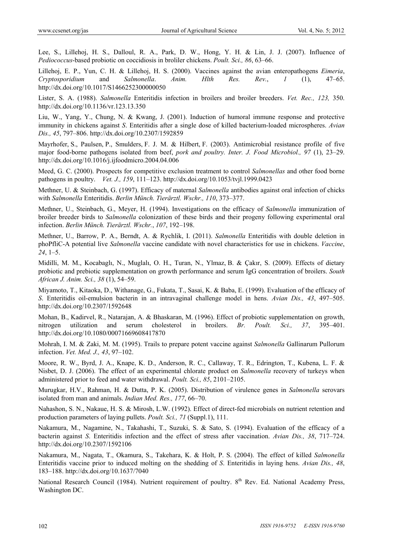Lee, S., Lillehoj, H. S., Dalloul, R. A., Park, D. W., Hong, Y. H. & Lin, J. J. (2007). Influence of *Pediococcus*-based probiotic on coccidiosis in broliler chickens. *Poult. Sci., 86*, 63–66.

Lillehoj, E. P., Yun, C. H. & Lillehoj, H. S. (2000). Vaccines against the avian enteropathogens *Eimeria*, *Cryptosporidium* and *Salmonella*. *Anim. Hlth Res. Rev.*, *1* (1), 47–65. http://dx.doi.org/10.1017/S1466252300000050

Lister, S. A. (1988). *Salmonella* Enteritidis infection in broilers and broiler breeders. *Vet. Rec., 123,* 350. http://dx.doi.org/10.1136/vr.123.13.350

Liu, W., Yang, Y., Chung, N. & Kwang, J. (2001). Induction of humoral immune response and protective immunity in chickens against *S*. Enteritidis after a single dose of killed bacterium-loaded microspheres. *Avian Dis., 45*, 797–806. http://dx.doi.org/10.2307/1592859

Mayrhofer, S., Paulsen, P., Smulders, F. J. M. & Hilbert, F. (2003). Antimicrobial resistance profile of five major food-borne pathogens isolated from beef, *pork and poultry. Inter. J. Food Microbiol., 97* (1), 23–29. http://dx.doi.org/10.1016/j.ijfoodmicro.2004.04.006

Meed, G. C. (2000). Prospects for competitive exclusion treatment to control *Salmonellas* and other food borne pathogens in poultry. *Vet. J., 159*, 111–123. http://dx.doi.org/10.1053/tvjl.1999.0423

Methner, U. & Steinbach, G. (1997). Efficacy of maternal *Salmonella* antibodies against oral infection of chicks with *Salmonella* Enteritidis. *Berlin Münch. Tierärztl. Wschr., 110*, 373–377.

Methner, U., Steinbach, G., Meyer, H. (1994). Investigations on the efficacy of *Salmonella* immunization of broiler breeder birds to *Salmonella* colonization of these birds and their progeny following experimental oral infection. *Berlin Münch. Tierärztl. Wschr.*, *107*, 192–198.

Methner, U., Barrow, P. A., Berndt, A. & Rychlik, I. (2011). *Salmonella* Enteritidis with double deletion in phoPfliC-A potential live *Salmonella* vaccine candidate with novel characteristics for use in chickens. *Vaccine*, *24*, 1–5.

Midilli, M. M., Kocabaglı, N., Muglalı, O. H., Turan, N., Ylmaz, B. & Çakır, S. (2009). Effects of dietary probiotic and prebiotic supplementation on growth performance and serum IgG concentration of broilers. *South African J. Anim. Sci., 38* (1), 54–59.

Miyamoto, T., Kitaoka, D., Withanage, G., Fukata, T., Sasai, K. & Baba, E. (1999). Evaluation of the efficacy of *S*. Enteritidis oil-emulsion bacterin in an intravaginal challenge model in hens. *Avian Dis., 43*, 497–505. http://dx.doi.org/10.2307/1592648

Mohan, B., Kadirvel, R., Natarajan, A. & Bhaskaran, M. (1996). Effect of probiotic supplementation on growth, nitrogen utilization and serum cholesterol in broilers. *Br. Poult. Sci., 37*, 395–401. http://dx.doi.org/10.1080/00071669608417870

Mohrah, I. M. & Zaki, M. M. (1995). Trails to prepare potent vaccine against *Salmonella* Gallinarum Pullorum infection. *Vet. Med. J., 43*, 97–102.

Moore, R. W., Byrd, J. A., Knape, K. D., Anderson, R. C., Callaway, T. R., Edrington, T., Kubena, L. F. & Nisbet, D. J. (2006). The effect of an experimental chlorate product on *Salmonella* recovery of turkeys when administered prior to feed and water withdrawal. *Poult. Sci., 85*, 2101–2105.

Murugkar, H.V., Rahman, H. & Dutta, P. K. (2005). Distribution of virulence genes in *Salmonella* serovars isolated from man and animals. *Indian Med. Res., 177*, 66–70.

Nahashon, S. N., Nakaue, H. S. & Mirosh, L.W. (1992). Effect of direct-fed microbials on nutrient retention and production parameters of laying pullets. *Poult. Sci., 71* (Suppl.1), 111.

Nakamura, M., Nagamine, N., Takahashi, T., Suzuki, S. & Sato, S. (1994). Evaluation of the efficacy of a bacterin against *S*. Enteritidis infection and the effect of stress after vaccination. *Avian Dis., 38*, 717–724. http://dx.doi.org/10.2307/1592106

Nakamura, M., Nagata, T., Okamura, S., Takehara, K. & Holt, P. S. (2004). The effect of killed *Salmonella* Enteritidis vaccine prior to induced molting on the shedding of *S*. Enteritidis in laying hens. *Avian Dis., 48*, 183–188. http://dx.doi.org/10.1637/7040

National Research Council (1984). Nutrient requirement of poultry. 8<sup>th</sup> Rev. Ed. National Academy Press, Washington DC.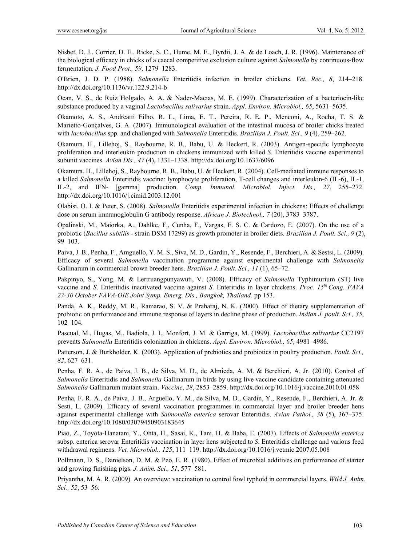Nisbet, D. J., Corrier, D. E., Ricke, S. C., Hume, M. E., Byrdii, J. A. & de Loach, J. R. (1996). Maintenance of the biological efficacy in chicks of a caecal competitive exclusion culture against *Salmonella* by continuous-flow fermentation. *J. Food Prot., 59*, 1279–1283.

O'Brien, J. D. P. (1988). *Salmonella* Enteritidis infection in broiler chickens. *Vet. Rec., 8*, 214–218. http://dx.doi.org/10.1136/vr.122.9.214-b

Ocan, V. S., de Ruiz Holgado, A. A. & Nader-Macıas, M. E. (1999). Characterization of a bacteriocin-like substance produced by a vaginal *Lactobacillus salivarius* strain. *Appl. Environ. Microbiol., 65*, 5631–5635.

Okamoto, A. S., Andreatti Filho, R. L., Lima, E. T., Pereira, R. E. P., Menconi, A., Rocha, T. S. & Marietto-Gonçalves, G. A. (2007). Immunological evaluation of the intestinal mucosa of broiler chicks treated with *lactobacillus* spp. and challenged with *Salmonella* Enteritidis. *Brazilian J. Poult. Sci., 9* (4), 259–262.

Okamura, H., Lillehoj, S., Raybourne, R. B., Babu, U. & Heckert, R. (2003). Antigen-specific lymphocyte proliferation and interleukin production in chickens immunized with killed *S*. Enteritidis vaccine experimental subunit vaccines. *Avian Dis., 47* (4), 1331–1338. http://dx.doi.org/10.1637/6096

Okamura, H., Lillehoj, S., Raybourne, R. B., Babu, U. & Heckert, R. (2004). Cell-mediated immune responses to a killed *Salmonella* Enteritidis vaccine: lymphocyte proliferation, T-cell changes and interleukin-6 (IL-6), IL-1, IL-2, and IFN- [gamma] production. *Comp. Immunol. Microbiol. Infect. Dis., 27*, 255–272. http://dx.doi.org/10.1016/j.cimid.2003.12.001

Olabisi, O. I. & Peter, S. (2008). *Salmonella* Enteritidis experimental infection in chickens: Effects of challenge dose on serum immunoglobulin G antibody response. *African J. Biotechnol., 7* (20), 3783–3787.

Opalinski, M., Maiorka, A., Dahlke, F., Cunha, F., Vargas, F. S. C. & Cardozo, E. (2007). On the use of a probiotic (*Bacillus subtilis -* strain DSM 17299) as growth promoter in broiler diets. *Brazilian J. Poult. Sci., 9* (2), 99–103.

Paiva, J. B., Penha, F., Amguello, Y. M. S., Siva, M. D., Gardin, Y., Resende, F., Berchieri, A. & Sestsi, L. (2009). Efficacy of several *Salmonella* vaccination programme against experimental challenge with *Salmonella* Gallinarum in commercial brown breeder hens. *Brazilian J. Poult. Sci., 11* (1), 65–72.

Pakpinyo, S., Yong, M. & Lertruangpunyawuti, V. (2008). Efficacy of *Salmonella* Typhimurium (ST) live vaccine and *S*. Enteritidis inactivated vaccine against *S*. Enteritidis in layer chickens. *Proc. 15th Cong. FAVA 27-30 October FAVA-OIE Joint Symp. Emerg. Dis., Bangkok, Thailand.* pp 153.

Panda, A. K., Reddy, M. R., Ramarao, S. V. & Praharaj, N. K. (2000). Effect of dietary supplementation of probiotic on performance and immune response of layers in decline phase of production. *Indian J. poult. Sci., 35*, 102–104.

Pascual, M., Hugas, M., Badiola, J. I., Monfort, J. M. & Garriga, M. (1999). *Lactobacillus salivarius* CC2197 prevents *Salmonella* Enteritidis colonization in chickens. *Appl. Environ. Microbiol., 65*, 4981–4986.

Patterson, J. & Burkholder, K. (2003). Application of prebiotics and probiotics in poultry production. *Poult. Sci., 82*, 627–631.

Penha, F. R. A., de Paiva, J. B., de Silva, M. D., de Almieda, A. M. & Berchieri, A. Jr. (2010). Control of *Salmonella* Enteritidis and *Salmonella* Gallinarum in birds by using live vaccine candidate containing attenuated *Salmonella* Gallinarum mutant strain. *Vaccine*, *28*, 2853–2859. http://dx.doi.org/10.1016/j.vaccine.2010.01.058

Penha, F. R. A., de Paiva, J. B., Arguello, Y. M., de Silva, M. D., Gardin, Y., Resende, F., Berchieri, A. Jr. & Sesti, L. (2009). Efficacy of several vaccination programmes in commercial layer and broiler breeder hens against experimental challenge with *Salmonella enterica* serovar Enteritidis. *Avian Pathol., 38* (5), 367–375. http://dx.doi.org/10.1080/03079450903183645

Piao, Z., Toyota-Hanatani, Y., Ohta, H., Sasai, K., Tani, H. & Baba, E. (2007). Effects of *Salmonella enterica* subsp. enterica serovar Enteritidis vaccination in layer hens subjected to *S*. Enteritidis challenge and various feed withdrawal regimens. *Vet. Microbiol., 125*, 111–119. http://dx.doi.org/10.1016/j.vetmic.2007.05.008

Pollmann, D. S., Danielson, D. M. & Peo, E. R. (1980). Effect of microbial additives on performance of starter and growing finishing pigs. *J. Anim. Sci., 51*, 577–581.

Priyantha, M. A. R. (2009). An overview: vaccination to control fowl typhoid in commercial layers. *Wild J. Anim. Sci., 52*, 53–56.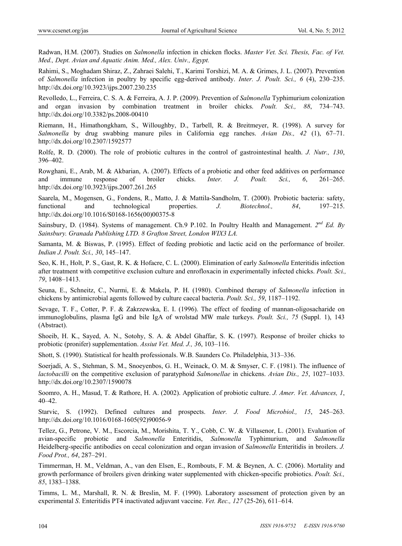Radwan, H.M. (2007). Studies on *Salmonella* infection in chicken flocks. *Master Vet. Sci. Thesis, Fac. of Vet. Med., Dept. Avian and Aquatic Anim. Med., Alex. Univ., Egypt.*

Rahimi, S., Moghadam Shiraz, Z., Zahraei Salehi, T., Karimi Torshizi, M. A. & Grimes, J. L. (2007). Prevention of *Salmonella* infection in poultry by specific egg-derived antibody. *Inter. J. Poult. Sci., 6* (4), 230–235. http://dx.doi.org/10.3923/ijps.2007.230.235

Revolledo, L., Ferreira, C. S. A. & Ferreira, A. J. P. (2009). Prevention of *Salmonella* Typhimurium colonization and organ invasion by combination treatment in broiler chicks. *Poult. Sci., 88*, 734–743. http://dx.doi.org/10.3382/ps.2008-00410

Riemann, H., Himathongkham, S., Willoughby, D., Tarbell, R. & Breitmeyer, R. (1998). A survey for *Salmonella* by drug swabbing manure piles in California egg ranches. *Avian Dis., 42* (1), 67–71. http://dx.doi.org/10.2307/1592577

Rolfe, R. D. (2000). The role of probiotic cultures in the control of gastrointestinal health. *J. Nutr., 130*, 396–402.

Rowghani, E., Arab, M. & Akbarian, A. (2007). Effects of a probiotic and other feed additives on performance and immune response of broiler chicks. *Inter. J. Poult. Sci., 6*, 261–265. http://dx.doi.org/10.3923/ijps.2007.261.265

Saarela, M., Mogensen, G., Fondens, R., Matto, J. & Mattila-Sandholm, T. (2000). Probiotic bacteria: safety, functional and technological properties. *J. Biotechnol., 84*, 197–215. http://dx.doi.org/10.1016/S0168-1656(00)00375-8

Sainsbury, D. (1984). Systems of management. Ch.9 P.102. In Poultry Health and Management. *2nd Ed. By Sainsbury. Granada Publishing LTD. 8 Grafton Street, London WIX3 LA.* 

Samanta, M. & Biswas, P. (1995). Effect of feeding probiotic and lactic acid on the performance of broiler. *Indian J. Poult. Sci., 30*, 145–147.

Seo, K. H., Holt, P. S., Gast, R. K. & Hofacre, C. L. (2000). Elimination of early *Salmonella* Enteritidis infection after treatment with competitive exclusion culture and enrofloxacin in experimentally infected chicks. *Poult. Sci., 79*, 1408–1413.

Seuna, E., Schneitz, C., Nurmi, E. & Makela, P. H. (1980). Combined therapy of *Salmonella* infection in chickens by antimicrobial agents followed by culture caecal bacteria. *Poult. Sci., 59*, 1187–1192.

Sevage, T. F., Cotter, P. F. & Zakrzewska, E. I. (1996). The effect of feeding of mannan-oligosacharide on immunoglobulins, plasma IgG and bile IgA of wrolstad MW male turkeys. *Poult. Sci., 75* (Suppl. 1), 143 (Abstract).

Shoeib, H. K., Sayed, A. N., Sotohy, S. A. & Abdel Ghaffar, S. K. (1997). Response of broiler chicks to probiotic (pronifer) supplementation. *Assiut Vet. Med. J., 36*, 103–116.

Shott, S. (1990). Statistical for health professionals. W.B. Saunders Co. Philadelphia, 313–336.

Soerjadi, A. S., Stehman, S. M., Snoeyenbos, G. H., Weinack, O. M. & Smyser, C. F. (1981). The influence of *lactobacilli* on the competitive exclusion of paratyphoid *Salmonellae* in chickens. *Avian Dis., 25*, 1027–1033. http://dx.doi.org/10.2307/1590078

Soomro, A. H., Masud, T. & Rathore, H. A. (2002). Application of probiotic culture. *J. Amer. Vet. Advances, 1*, 40–42.

Starvic, S. (1992). Defined cultures and prospects. *Inter. J. Food Microbiol., 15*, 245–263. http://dx.doi.org/10.1016/0168-1605(92)90056-9

Tellez, G., Petrone, V. M., Escorcia, M., Morishita, T. Y., Cobb, C. W. & Villasenor, L. (2001). Evaluation of avian-specific probiotic and *Salmonella* Enteritidis, *Salmonella* Typhimurium, and *Salmonella* Heidelberg-specific antibodies on cecal colonization and organ invasion of *Salmonella* Enteritidis in broilers. *J. Food Prot., 64*, 287–291.

Timmerman, H. M., Veldman, A., van den Elsen, E., Rombouts, F. M. & Beynen, A. C. (2006). Mortality and growth performance of broilers given drinking water supplemented with chicken-specific probiotics. *Poult. Sci., 85*, 1383–1388.

Timms, L. M., Marshall, R. N. & Breslin, M. F. (1990). Laboratory assessment of protection given by an experimental *S*. Enteritidis PT4 inactivated adjuvant vaccine. *Vet. Rec., 127* (25-26), 611–614.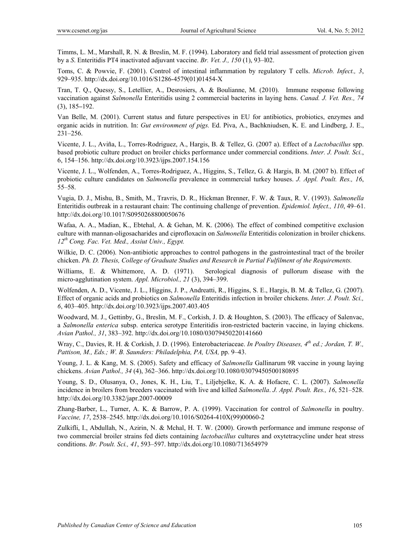Timms, L. M., Marshall, R. N. & Breslin, M. F. (1994). Laboratory and field trial assessment of protection given by a *S*. Enteritidis PT4 inactivated adjuvant vaccine. *Br. Vet. J., 150* (1), 93–l02.

Toms, C. & Powvie, F. (2001). Control of intestinal inflammation by regulatory T cells. *Microb. Infect., 3*, 929–935. http://dx.doi.org/10.1016/S1286-4579(01)01454-X

Tran, T. Q., Quessy, S., Letellier, A., Desrosiers, A. & Boulianne, M. (2010).Immune response following vaccination against *Salmonella* Enteritidis using 2 commercial bacterins in laying hens. *Canad. J. Vet. Res., 74* (3), 185**–**192.

Van Belle, M. (2001). Current status and future perspectives in EU for antibiotics, probiotics, enzymes and organic acids in nutrition. In: *Gut environment of pigs.* Ed. Piva, A., Bachkniudsen, K. E. and Lindberg, J. E., 231–256.

Vicente, J. L., Aviña, L., Torres-Rodriguez, A., Hargis, B. & Tellez, G. (2007 a). Effect of a *Lactobacillus* spp. based probiotic culture product on broiler chicks performance under commercial conditions. *Inter. J. Poult. Sci.*, 6, 154–156. http://dx.doi.org/10.3923/ijps.2007.154.156

Vicente, J. L., Wolfenden, A., Torres-Rodriguez, A., Higgins, S., Tellez, G. & Hargis, B. M. (2007 b). Effect of probiotic culture candidates on *Salmonella* prevalence in commercial turkey houses. *J. Appl. Poult. Res., 16*, 55–58.

Vugia, D. J., Mishu, B., Smith, M., Travris, D. R., Hickman Brenner, F. W. & Taux, R. V. (1993). *Salmonella* Enteritidis outbreak in a restaurant chain: The continuing challenge of prevention. *Epidemiol. Infect., 110*, 49–61. http://dx.doi.org/10.1017/S0950268800050676

Wafaa, A. A., Madian, K., Ebtehal, A. & Gehan, M. K. (2006). The effect of combined competitive exclusion culture with mannan-oligosacharides and ciprofloxacin on *Salmonella* Enteritidis colonization in broiler chickens. *12th Cong. Fac. Vet. Med., Assiut Univ., Egypt.*

Wilkie, D. C. (2006). Non-antibiotic approaches to control pathogens in the gastrointestinal tract of the broiler chicken. *Ph. D. Thesis, College of Graduate Studies and Research in Partial Fulfilment of the Requirements.*

Williams, E. & Whittemore, A. D. (1971). Serological diagnosis of pullorum disease with the micro-agglutination system. *Appl. Microbiol., 21* (3), 394–399.

Wolfenden, A. D., Vicente, J. L., Higgins, J. P., Andreatti, R., Higgins, S. E., Hargis, B. M. & Tellez, G. (2007). Effect of organic acids and probiotics on *Salmonella* Enteritidis infection in broiler chickens. *Inter. J. Poult. Sci., 6*, 403–405. http://dx.doi.org/10.3923/ijps.2007.403.405

Woodward, M. J., Gettinby, G., Breslin, M. F., Corkish, J. D. & Houghton, S. (2003). The efficacy of Salenvac, a *Salmonella enterica* subsp. enterica serotype Enteritidis iron-restricted bacterin vaccine, in laying chickens. *Avian Pathol., 31*, 383–392. http://dx.doi.org/10.1080/03079450220141660

Wray, C., Davies, R. H. & Corkish, J. D. (1996). Enterobacteriaceae. *In Poultry Diseases, 4th ed.; Jordan, T. W.,*  Pattison, M., Eds.; W. B. Saunders: Philadelphia, PA, USA, pp. 9-43.

Young, J. L. & Kang, M. S. (2005). Safety and efficacy of *Salmonella* Gallinarum 9R vaccine in young laying chickens. *Avian Pathol., 34* (4), 362–366. http://dx.doi.org/10.1080/03079450500180895

Young, S. D., Olusanya, O., Jones, K. H., Liu, T., Liljebjelke, K. A. & Hofacre, C. L. (2007). *Salmonella*  incidence in broilers from breeders vaccinated with live and killed *Salmonella*. *J. Appl. Poult. Res., 16*, 521–528. http://dx.doi.org/10.3382/japr.2007-00009

Zhang-Barber, L., Turner, A. K. & Barrow, P. A. (1999). Vaccination for control of *Salmonella* in poultry. *Vaccine, 17*, 2538–2545. http://dx.doi.org/10.1016/S0264-410X(99)00060-2

Zulkifli, I., Abdullah, N., Azirin, N. & Mchal, H. T. W. (2000). Growth performance and immune response of two commercial broiler strains fed diets containing *lactobacillus* cultures and oxytetracycline under heat stress conditions. *Br. Poult. Sci., 41*, 593–597. http://dx.doi.org/10.1080/713654979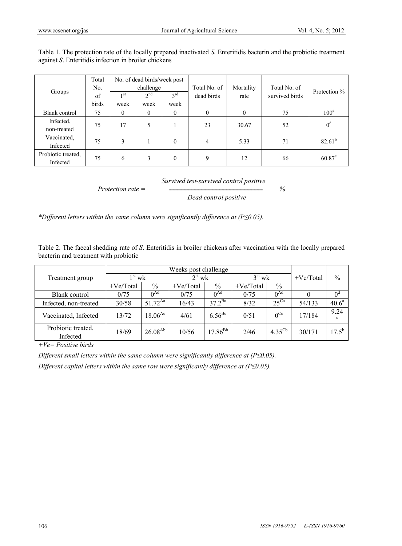|                    | Total |           | No. of dead birds/week post |          |              |           |                |                |  |
|--------------------|-------|-----------|-----------------------------|----------|--------------|-----------|----------------|----------------|--|
|                    | No.   | challenge |                             |          | Total No. of | Mortality | Total No. of   | Protection %   |  |
| Groups             | of    | 1 st      | 2 <sup>nd</sup>             | $2^{rd}$ | dead birds   | rate      | survived birds |                |  |
|                    | birds | week      | week                        | week     |              |           |                |                |  |
| Blank control      | 75    | $\theta$  | $\mathbf{0}$                | $\theta$ | 0            | $\theta$  | 75             | $100^a$        |  |
| Infected.          | 75    | 17        |                             |          | 23           | 30.67     | 52             | 0 <sup>d</sup> |  |
| non-treated        |       |           |                             |          |              |           |                |                |  |
| Vaccinated,        | 75    | 3         |                             | $\theta$ | 4            | 5.33      | 71             | $82.61^{b}$    |  |
| Infected           |       |           |                             |          |              |           |                |                |  |
| Probiotic treated. | 75    | 6         | 3                           | $\theta$ | 9            | 12        | 66             | $60.87^c$      |  |
| Infected           |       |           |                             |          |              |           |                |                |  |

Table 1. The protection rate of the locally prepared inactivated *S.* Enteritidis bacterin and the probiotic treatment against *S*. Enteritidis infection in broiler chickens

*Survived test-survived control positive* 

*Protection rate =* ـــــــــــــــــــــــــــــــــــــــــــــــــــــــــــــــــــ *%* 

 *Dead control positive* 

*\*Different letters within the same column were significantly difference at (P≤0.05).* 

Table 2. The faecal shedding rate of *S*. Enteritidis in broiler chickens after vaccination with the locally prepared bacterin and treatment with probiotic

|                                |                 | Weeks post challenge |                 |              |             |                    |             |             |  |  |  |
|--------------------------------|-----------------|----------------------|-----------------|--------------|-------------|--------------------|-------------|-------------|--|--|--|
| Treatment group                | $1^{\rm st}$ wk |                      | $2^{\rm st}$ wk |              | $3st$ wk    |                    | $+Ve/Total$ | $\%$        |  |  |  |
|                                | +Ve/Total       | $\frac{0}{0}$        | $+Ve/Total$     | $\%$         | $+Ve/Total$ | $\%$               |             |             |  |  |  |
| Blank control                  | 0/75            | $0^{\text{Ad}}$      | 0/75            | $0^{Ad}$     | 0/75        | $0^{Ad}$           |             | $0^{\rm d}$ |  |  |  |
| Infected, non-treated          | 30/58           | $51.72^{Aa}$         | 16/43           | $37.2^{Ba}$  | 8/32        | $25^{\text{Ca}}$   | 54/133      | $40.6^a$    |  |  |  |
| Vaccinated, Infected           | 13/72           | $18.06^{Ac}$         | 4/61            | $6.56^{Bc}$  | 0/51        | $0$ <sup>Cc</sup>  | 17/184      | 9.24<br>c   |  |  |  |
| Probiotic treated,<br>Infected | 18/69           | $26.08^{Ab}$         | 10/56           | $17.86^{Bb}$ | 2/46        | $4.35^{\text{Cb}}$ | 30/171      | $17.5^{b}$  |  |  |  |

*+Ve= Positive birds* 

*Different small letters within the same column were significantly difference at (P≤0.05). Different capital letters within the same row were significantly difference at (P≤0.05).*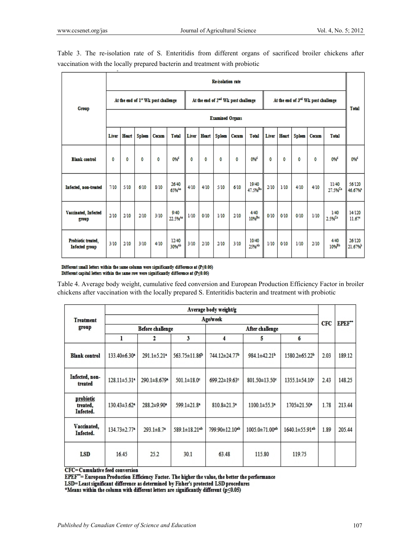|                                      | <b>Re-isolation</b> rate                        |                        |               |       |                             |       |                                                 |               |       |                              |                                     |              |               |       |                            |                           |
|--------------------------------------|-------------------------------------------------|------------------------|---------------|-------|-----------------------------|-------|-------------------------------------------------|---------------|-------|------------------------------|-------------------------------------|--------------|---------------|-------|----------------------------|---------------------------|
|                                      | At the end of 1 <sup>24</sup> Wk post challenge |                        |               |       |                             |       | At the end of 2 <sup>nd</sup> Wk post challenge |               |       |                              | At the end of 3rd Wk post challenge |              |               |       |                            | <b>Total</b>              |
| Group                                |                                                 | <b>Examined Organs</b> |               |       |                             |       |                                                 |               |       |                              |                                     |              |               |       |                            |                           |
|                                      | Liver                                           | <b>Heart</b>           | <b>Spleen</b> | Cecum | <b>Total</b>                | Liver | <b>Heart</b>                                    | <b>Spleen</b> | Cecum | <b>Total</b>                 | Liver                               | <b>Heart</b> | <b>Spleen</b> | Cecum | <b>Total</b>               |                           |
| <b>Blank</b> control                 | 0                                               | 0                      | 0             | 0     | 0% <sup>d</sup>             | 0     | 0                                               | 0             | 0     | 0% <sup>d</sup>              | 0                                   | 0            | 0             | 0     | 0% <sup>d</sup>            | 0% <sup>d</sup>           |
| Infected, non-treated                | 7/10                                            | 5/10                   | 6/10          | 8/10  | 26/40<br>65%4=              | 4/10  | 4/10                                            | 5/10          | 6/10  | 19/40<br>47.5% <sup>Ba</sup> | 2/10                                | 1/10         | 4/10          | 4/10  | 11/40<br>27.5%             | 56/120<br>46.67%          |
| Vaccinated, Infected<br>group        | 2/10                                            | 2/10                   | 2/10          | 3/10  | 9/40<br>22.5% <sup>Ac</sup> | 1/10  | 0/10                                            | 1/10          | 2/10  | 4/40<br>$10%^{Be}$           | 0/10                                | 0/10         | 0/10          | 1/10  | 1/40<br>2.5% <sup>Cc</sup> | 14/120<br>$11.67^{\circ}$ |
| Probiotic treated,<br>Infected group | 3/10                                            | 2/10                   | 3/10          | 4/10  | 12/40<br>30% <sup>Ab</sup>  | 3/10  | 2/10                                            | 2/10          | 3/10  | 10/40<br>25%Ab               | 1/10                                | 0/10         | 1/10          | 2/10  | 4/40<br>10% <sup>Bb</sup>  | 26/120<br>21.67%          |

Table 3. The re-isolation rate of S. Enteritidis from different organs of sacrificed broiler chickens after vaccination with the locally prepared bacterin and treatment with probiotic

Different small letters within the same column were significantly difference at  $(P \le 0.05)$ Different capital letters within the same row were significantly difference at  $(P \le 0.05)$ 

Table 4. Average body weight, cumulative feed conversion and European Production Efficiency Factor in broiler chickens after vaccination with the locally prepared S. Enteritidis bacterin and treatment with probiotic

| <b>Treatment</b>                   |                                | <b>Age/week</b>               |               |                               |                                |                |      |        |  |  |  |
|------------------------------------|--------------------------------|-------------------------------|---------------|-------------------------------|--------------------------------|----------------|------|--------|--|--|--|
| group                              |                                | <b>Before challenge</b>       |               |                               | After challenge                |                |      |        |  |  |  |
|                                    | ı                              | 2                             | 3             | 4                             | 5                              | 6              |      |        |  |  |  |
| <b>Blank</b> control               | 133 40±6.30*                   | $291.1 \pm 5.21$ <sup>a</sup> | 563.75±11.86b | 744.12±24.77 <sup>b</sup>     | 984.1±42.21 <sup>b</sup>       | 1580.2±65.22b  | 2.03 | 189.12 |  |  |  |
| Infected, non-<br>treated          | $128.11 \pm 5.31$ <sup>a</sup> | 290.1±8.679*                  | 501.1±18.0°   | 699.22±19.63c                 | 801.50±13.50°                  | 1355.1±54.10°  | 2.43 | 148.25 |  |  |  |
| probiotic<br>treated.<br>Infected. | $130.43 \pm 3.62$ <sup>a</sup> | $288.2 \pm 9.90$ <sup>a</sup> | 599.1±21.8ª   | $810.8 \pm 21.3$ <sup>a</sup> | $1100.1 \pm 55.3$ <sup>a</sup> | 1705±21.50*    | 1.78 | 213.44 |  |  |  |
| Vaccinated,<br>Infected.           | 134.73±2.77*                   | $293.1 \pm 8.7$ <sup>a</sup>  | 589.1±18.21ab | 799.90±12.10ab                | 1005.0±71.00ab                 | 1640.1±55.91ab | 1.89 | 205.44 |  |  |  |
| <b>LSD</b>                         | 16.45                          | 25.2                          | 30.1          | 63.48                         | 115.80                         | 119.75         |      |        |  |  |  |

**CFC=Cumulative feed conversion** 

EPEF\*\*= European Production Efficiency Factor. The higher the value, the better the performance

LSD=Least significant difference as determined by Fisher's protected LSD procedures

\*Means within the column with different letters are significantly different ( $p \le 0.05$ )